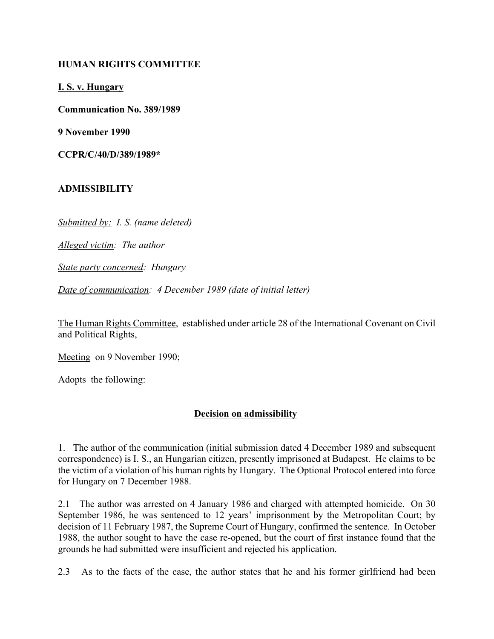## **HUMAN RIGHTS COMMITTEE**

**I. S. v. Hungary**

**Communication No. 389/1989**

**9 November 1990**

**CCPR/C/40/D/389/1989\***

## **ADMISSIBILITY**

*Submitted by: I. S. (name deleted)*

*Alleged victim: The author*

*State party concerned: Hungary*

*Date of communication: 4 December 1989 (date of initial letter)*

The Human Rights Committee, established under article 28 of the International Covenant on Civil and Political Rights,

Meeting on 9 November 1990;

Adopts the following:

## **Decision on admissibility**

1. The author of the communication (initial submission dated 4 December 1989 and subsequent correspondence) is I. S., an Hungarian citizen, presently imprisoned at Budapest. He claims to be the victim of a violation of his human rights by Hungary. The Optional Protocol entered into force for Hungary on 7 December 1988.

2.1 The author was arrested on 4 January 1986 and charged with attempted homicide. On 30 September 1986, he was sentenced to 12 years' imprisonment by the Metropolitan Court; by decision of 11 February 1987, the Supreme Court of Hungary, confirmed the sentence. In October 1988, the author sought to have the case re-opened, but the court of first instance found that the grounds he had submitted were insufficient and rejected his application.

2.3 As to the facts of the case, the author states that he and his former girlfriend had been